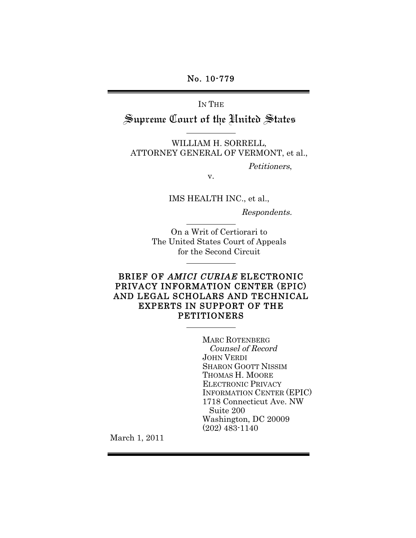No. 10-779

IN THE

Supreme Court of the United States

WILLIAM H. SORRELL, ATTORNEY GENERAL OF VERMONT, et al.,

Petitioners,

v.

IMS HEALTH INC., et al.,

Respondents.

On a Writ of Certiorari to The United States Court of Appeals for the Second Circuit

## BRIEF OF AMICI CURIAE ELECTRONIC PRIVACY INFORMATION CENTER (EPIC) AND LEGAL SCHOLARS AND TECHNICAL EXPERTS IN SUPPORT OF THE PETITIONERS

MARC ROTENBERG Counsel of Record JOHN VERDI SHARON GOOTT NISSIM THOMAS H. MOORE ELECTRONIC PRIVACY INFORMATION CENTER (EPIC) 1718 Connecticut Ave. NW Suite 200 Washington, DC 20009 (202) 483-1140

March 1, 2011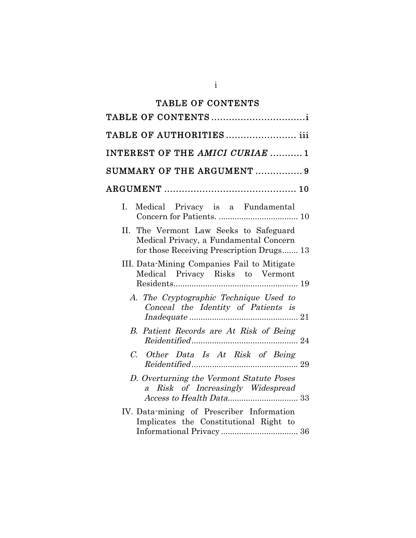# TABLE OF CONTENTS

| TABLE OF AUTHORITIES iii                                                                                                             |
|--------------------------------------------------------------------------------------------------------------------------------------|
| INTEREST OF THE AMICI CURIAE 1                                                                                                       |
| SUMMARY OF THE ARGUMENT  9                                                                                                           |
|                                                                                                                                      |
| Medical Privacy is a Fundamental<br>L.                                                                                               |
| The Vermont Law Seeks to Safeguard<br>$\Pi$ .<br>Medical Privacy, a Fundamental Concern<br>for those Receiving Prescription Drugs 13 |
| III. Data-Mining Companies Fail to Mitigate<br>Medical Privacy Risks to Vermont                                                      |
| A. The Cryptographic Technique Used to<br>Conceal the Identity of Patients is                                                        |
| B. Patient Records are At Risk of Being                                                                                              |
| C. Other Data Is At Risk of Being                                                                                                    |
| D. Overturning the Vermont Statute Poses<br>a Risk of Increasingly Widespread                                                        |
| IV. Data-mining of Prescriber Information<br>Implicates the Constitutional Right to                                                  |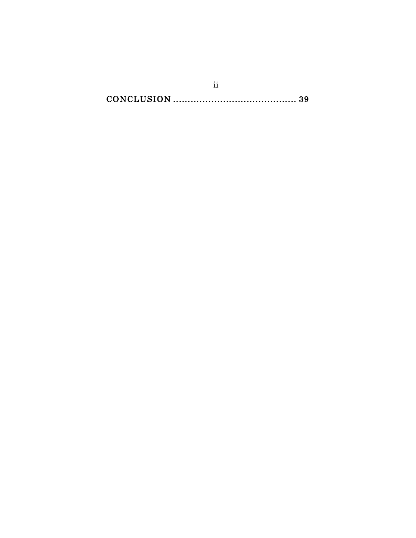$\overline{\text{ii}}$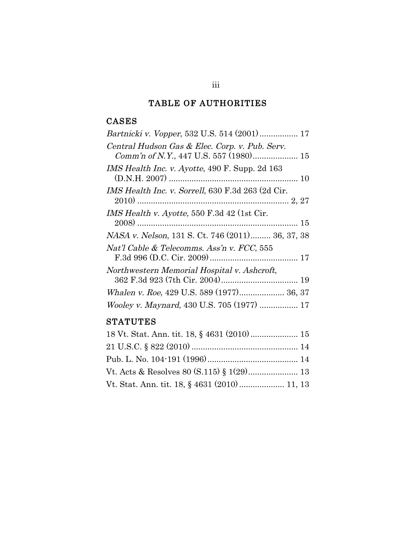# TABLE OF AUTHORITIES

## CASES

| Central Hudson Gas & Elec. Corp. v. Pub. Serv.<br>Comm'n of N.Y., 447 U.S. 557 (1980) 15 |
|------------------------------------------------------------------------------------------|
| IMS Health Inc. v. Ayotte, 490 F. Supp. 2d 163                                           |
| IMS Health Inc. v. Sorrell, 630 F.3d 263 (2d Cir.                                        |
| IMS Health v. Ayotte, 550 F.3d 42 (1st Cir.                                              |
| <i>NASA v. Nelson</i> , 131 S. Ct. 746 (2011) 36, 37, 38                                 |
| Nat'l Cable & Telecomms. Ass'n v. FCC, 555                                               |
| Northwestern Memorial Hospital v. Ashcroft,                                              |
| Whalen v. Roe, 429 U.S. 589 (1977) 36, 37                                                |
| Wooley v. Maynard, 430 U.S. 705 (1977)  17                                               |

# **STATUTES**

| Vt. Stat. Ann. tit. 18, § 4631 (2010)  11, 13 |  |
|-----------------------------------------------|--|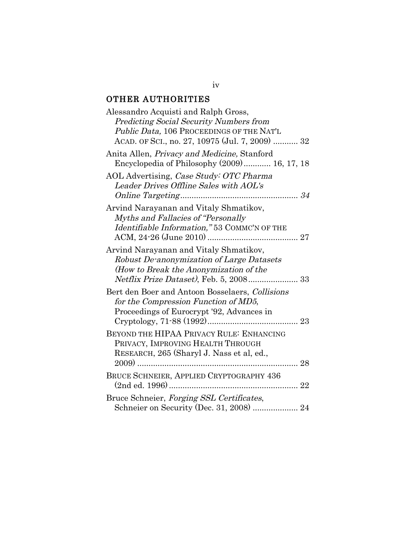# OTHER AUTHORITIES

| Alessandro Acquisti and Ralph Gross,                |
|-----------------------------------------------------|
| <b>Predicting Social Security Numbers from</b>      |
| Public Data, 106 PROCEEDINGS OF THE NAT'L           |
| ACAD. OF SCI., no. 27, 10975 (Jul. 7, 2009)  32     |
| Anita Allen, <i>Privacy and Medicine</i> , Stanford |
| Encyclopedia of Philosophy (2009) 16, 17, 18        |
| AOL Advertising, Case Study: OTC Pharma             |
| Leader Drives Offline Sales with AOL's              |
|                                                     |
| Arvind Narayanan and Vitaly Shmatikov,              |
| Myths and Fallacies of "Personally                  |
| Identifiable Information," 53 COMMC'N OF THE        |
|                                                     |
|                                                     |
| Arvind Narayanan and Vitaly Shmatikov,              |
| Robust De-anonymization of Large Datasets           |
| (How to Break the Anonymization of the              |
|                                                     |
| Bert den Boer and Antoon Bosselaers, Collisions     |
| for the Compression Function of MD5,                |
| Proceedings of Eurocrypt '92, Advances in           |
|                                                     |
| BEYOND THE HIPAA PRIVACY RULE: ENHANCING            |
| PRIVACY, IMPROVING HEALTH THROUGH                   |
| RESEARCH, 265 (Sharyl J. Nass et al, ed.,           |
| $2009)$<br>28                                       |
|                                                     |
| BRUCE SCHNEIER, APPLIED CRYPTOGRAPHY 436            |
|                                                     |
| Bruce Schneier, Forging SSL Certificates,           |
| Schneier on Security (Dec. 31, 2008)  24            |

## iv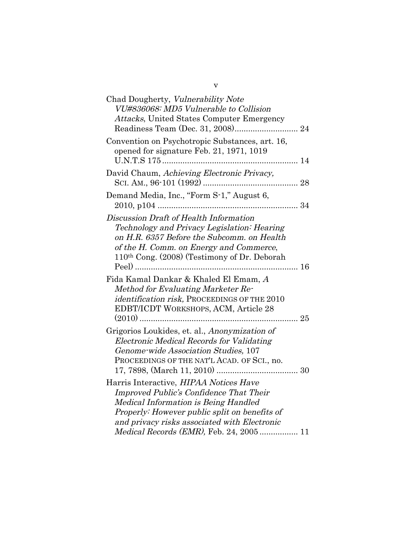| Chad Dougherty, Vulnerability Note<br>VU#836068: MD5 Vulnerable to Collision<br>Attacks, United States Computer Emergency                                                                                                                                                            |
|--------------------------------------------------------------------------------------------------------------------------------------------------------------------------------------------------------------------------------------------------------------------------------------|
|                                                                                                                                                                                                                                                                                      |
| Convention on Psychotropic Substances, art. 16,<br>opened for signature Feb. 21, 1971, 1019                                                                                                                                                                                          |
| David Chaum, Achieving Electronic Privacv.                                                                                                                                                                                                                                           |
| Demand Media, Inc., "Form S-1," August 6,                                                                                                                                                                                                                                            |
| Discussion Draft of Health Information<br>Technology and Privacy Legislation: Hearing<br>on H.R. 6357 Before the Subcomm. on Health<br>of the H. Comm. on Energy and Commerce,<br>110th Cong. (2008) (Testimony of Dr. Deborah                                                       |
| Fida Kamal Dankar & Khaled El Emam, A<br>Method for Evaluating Marketer Re-<br>identification risk, PROCEEDINGS OF THE 2010<br>EDBT/ICDT WORKSHOPS, ACM, Article 28                                                                                                                  |
| Grigorios Loukides, et. al., Anonymization of<br><b>Electronic Medical Records for Validating</b><br>Genome-wide Association Studies, 107<br>PROCEEDINGS OF THE NAT'L ACAD. OF SCI., no.                                                                                             |
| Harris Interactive, HIPAA Notices Have<br>Improved Public's Confidence That Their<br><b>Medical Information is Being Handled</b><br>Properly: However public split on benefits of<br>and privacy risks associated with Electronic<br><i>Medical Records (EMR)</i> , Feb. 24, 2005 11 |

v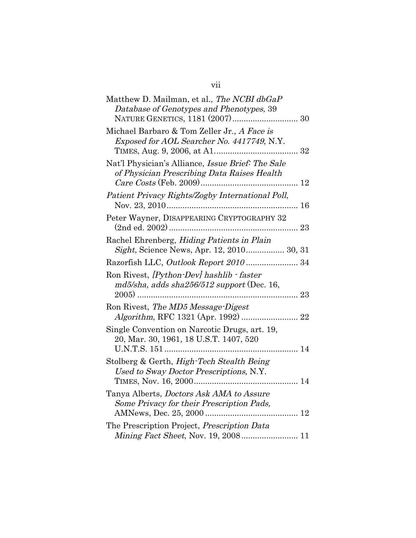| Matthew D. Mailman, et al., The NCBI dbGaP<br>Database of Genotypes and Phenotypes, 39           |
|--------------------------------------------------------------------------------------------------|
| Michael Barbaro & Tom Zeller Jr., A Face is<br>Exposed for AOL Searcher No. 4417749, N.Y.        |
| Nat'l Physician's Alliance, Issue Brief: The Sale<br>of Physician Prescribing Data Raises Health |
| Patient Privacy Rights/Zogby International Poll,                                                 |
| Peter Wayner, DISAPPEARING CRYPTOGRAPHY 32                                                       |
| Rachel Ehrenberg, Hiding Patients in Plain<br>Sight, Science News, Apr. 12, 2010 30, 31          |
|                                                                                                  |
| Ron Rivest, [Python-Dev] hashlib - faster<br>$md5/s$ ha, adds sha $256/512$ support (Dec. 16,    |
| Ron Rivest, The MD5 Message-Digest                                                               |
| Single Convention on Narcotic Drugs, art. 19,<br>20, Mar. 30, 1961, 18 U.S.T. 1407, 520          |
| Stolberg & Gerth, High-Tech Stealth Being<br>Used to Sway Doctor Prescriptions, N.Y.             |
| Tanya Alberts, <i>Doctors Ask AMA to Assure</i><br>Some Privacy for their Prescription Pads,     |
| The Prescription Project, Prescription Data<br>Mining Fact Sheet, Nov. 19, 2008 11               |

vii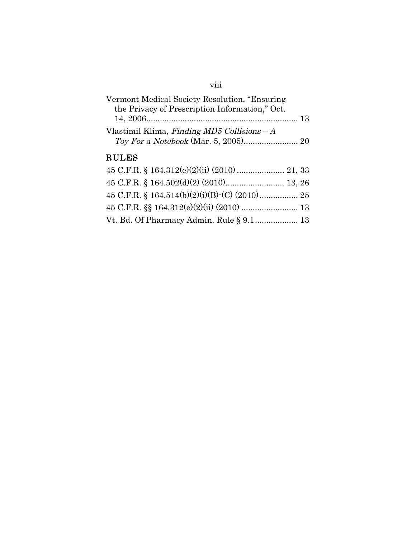## viii

Vt. Bd. Of Pharmacy Admin. Rule § 9.1................... 13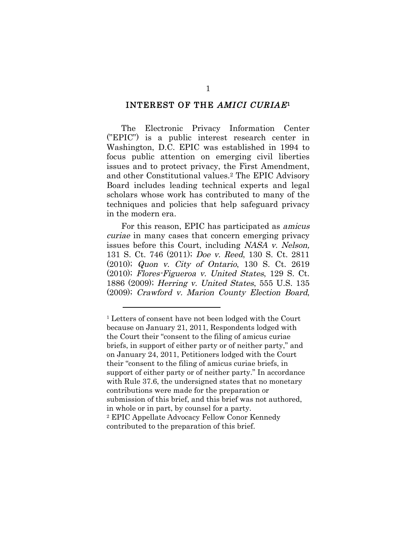### INTEREST OF THE AMICI CURIAE1

The Electronic Privacy Information Center ("EPIC") is a public interest research center in Washington, D.C. EPIC was established in 1994 to focus public attention on emerging civil liberties issues and to protect privacy, the First Amendment, and other Constitutional values.2 The EPIC Advisory Board includes leading technical experts and legal scholars whose work has contributed to many of the techniques and policies that help safeguard privacy in the modern era.

For this reason, EPIC has participated as amicus curiae in many cases that concern emerging privacy issues before this Court, including NASA v. Nelson, 131 S. Ct. 746 (2011); Doe v. Reed, 130 S. Ct. 2811 (2010); Quon v. City of Ontario, 130 S. Ct. 2619 (2010); Flores-Figueroa v. United States, 129 S. Ct. 1886 (2009); Herring v. United States, 555 U.S. 135 (2009); Crawford v. Marion County Election Board,

<sup>1</sup> Letters of consent have not been lodged with the Court because on January 21, 2011, Respondents lodged with the Court their "consent to the filing of amicus curiae briefs, in support of either party or of neither party," and on January 24, 2011, Petitioners lodged with the Court their "consent to the filing of amicus curiae briefs, in support of either party or of neither party." In accordance with Rule 37.6, the undersigned states that no monetary contributions were made for the preparation or submission of this brief, and this brief was not authored, in whole or in part, by counsel for a party. 2 EPIC Appellate Advocacy Fellow Conor Kennedy contributed to the preparation of this brief.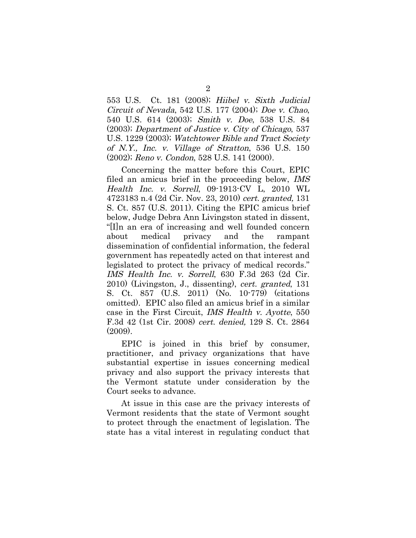553 U.S. Ct. 181 (2008); Hiibel v. Sixth Judicial Circuit of Nevada, 542 U.S. 177 (2004); Doe v. Chao, 540 U.S. 614 (2003); Smith v. Doe, 538 U.S. 84 (2003); Department of Justice v. City of Chicago, 537 U.S. 1229 (2003); Watchtower Bible and Tract Society of N.Y., Inc. v. Village of Stratton, 536 U.S. 150 (2002); Reno v. Condon, 528 U.S. 141 (2000).

Concerning the matter before this Court, EPIC filed an amicus brief in the proceeding below, IMS Health Inc. v. Sorrell, 09-1913-CV L, 2010 WL 4723183 n.4 (2d Cir. Nov. 23, 2010) cert. granted, 131 S. Ct. 857 (U.S. 2011). Citing the EPIC amicus brief below, Judge Debra Ann Livingston stated in dissent, "[I]n an era of increasing and well founded concern about medical privacy and the rampant dissemination of confidential information, the federal government has repeatedly acted on that interest and legislated to protect the privacy of medical records." IMS Health Inc. v. Sorrell, 630 F.3d 263 (2d Cir. 2010) (Livingston, J., dissenting), cert. granted, 131 S. Ct. 857 (U.S. 2011) (No. 10-779) (citations omitted). EPIC also filed an amicus brief in a similar case in the First Circuit, IMS Health v. Ayotte, 550 F.3d 42 (1st Cir. 2008) cert. denied, 129 S. Ct. 2864 (2009).

EPIC is joined in this brief by consumer, practitioner, and privacy organizations that have substantial expertise in issues concerning medical privacy and also support the privacy interests that the Vermont statute under consideration by the Court seeks to advance.

At issue in this case are the privacy interests of Vermont residents that the state of Vermont sought to protect through the enactment of legislation. The state has a vital interest in regulating conduct that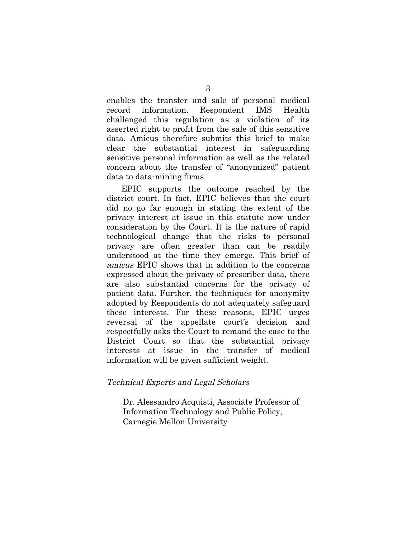enables the transfer and sale of personal medical record information. Respondent IMS Health challenged this regulation as a violation of its asserted right to profit from the sale of this sensitive data. Amicus therefore submits this brief to make clear the substantial interest in safeguarding sensitive personal information as well as the related concern about the transfer of "anonymized" patient data to data-mining firms.

EPIC supports the outcome reached by the district court. In fact, EPIC believes that the court did no go far enough in stating the extent of the privacy interest at issue in this statute now under consideration by the Court. It is the nature of rapid technological change that the risks to personal privacy are often greater than can be readily understood at the time they emerge. This brief of amicus EPIC shows that in addition to the concerns expressed about the privacy of prescriber data, there are also substantial concerns for the privacy of patient data. Further, the techniques for anonymity adopted by Respondents do not adequately safeguard these interests. For these reasons, EPIC urges reversal of the appellate court's decision and respectfully asks the Court to remand the case to the District Court so that the substantial privacy interests at issue in the transfer of medical information will be given sufficient weight.

#### Technical Experts and Legal Scholars

Dr. Alessandro Acquisti, Associate Professor of Information Technology and Public Policy, Carnegie Mellon University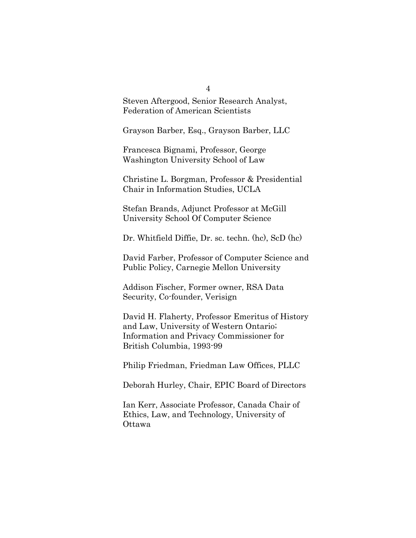Steven Aftergood, Senior Research Analyst, Federation of American Scientists

Grayson Barber, Esq., Grayson Barber, LLC

Francesca Bignami, Professor, George Washington University School of Law

Christine L. Borgman, Professor & Presidential Chair in Information Studies, UCLA

Stefan Brands, Adjunct Professor at McGill University School Of Computer Science

Dr. Whitfield Diffie, Dr. sc. techn. (hc), ScD (hc)

David Farber, Professor of Computer Science and Public Policy, Carnegie Mellon University

Addison Fischer, Former owner, RSA Data Security, Co-founder, Verisign

David H. Flaherty, Professor Emeritus of History and Law, University of Western Ontario; Information and Privacy Commissioner for British Columbia, 1993-99

Philip Friedman, Friedman Law Offices, PLLC

Deborah Hurley, Chair, EPIC Board of Directors

Ian Kerr, Associate Professor, Canada Chair of Ethics, Law, and Technology, University of Ottawa

4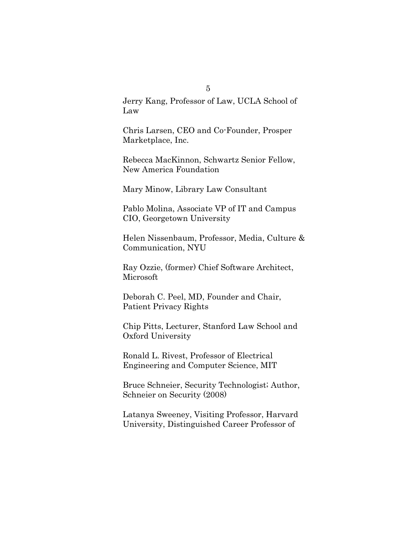Jerry Kang, Professor of Law, UCLA School of Law

Chris Larsen, CEO and Co-Founder, Prosper Marketplace, Inc.

Rebecca MacKinnon, Schwartz Senior Fellow, New America Foundation

Mary Minow, Library Law Consultant

Pablo Molina, Associate VP of IT and Campus CIO, Georgetown University

Helen Nissenbaum, Professor, Media, Culture & Communication, NYU

Ray Ozzie, (former) Chief Software Architect, Microsoft

Deborah C. Peel, MD, Founder and Chair, Patient Privacy Rights

Chip Pitts, Lecturer, Stanford Law School and Oxford University

Ronald L. Rivest, Professor of Electrical Engineering and Computer Science, MIT

Bruce Schneier, Security Technologist; Author, Schneier on Security (2008)

Latanya Sweeney, Visiting Professor, Harvard University, Distinguished Career Professor of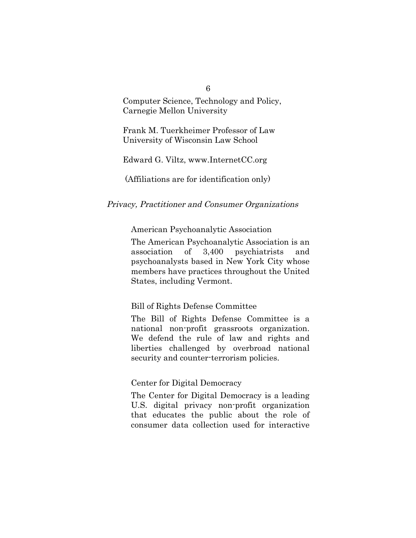Computer Science, Technology and Policy, Carnegie Mellon University

Frank M. Tuerkheimer Professor of Law University of Wisconsin Law School

Edward G. Viltz, www.InternetCC.org

(Affiliations are for identification only)

#### Privacy, Practitioner and Consumer Organizations

American Psychoanalytic Association

The American Psychoanalytic Association is an association of 3,400 psychiatrists and psychoanalysts based in New York City whose members have practices throughout the United States, including Vermont.

#### Bill of Rights Defense Committee

The Bill of Rights Defense Committee is a national non-profit grassroots organization. We defend the rule of law and rights and liberties challenged by overbroad national security and counter-terrorism policies.

#### Center for Digital Democracy

The Center for Digital Democracy is a leading U.S. digital privacy non-profit organization that educates the public about the role of consumer data collection used for interactive

6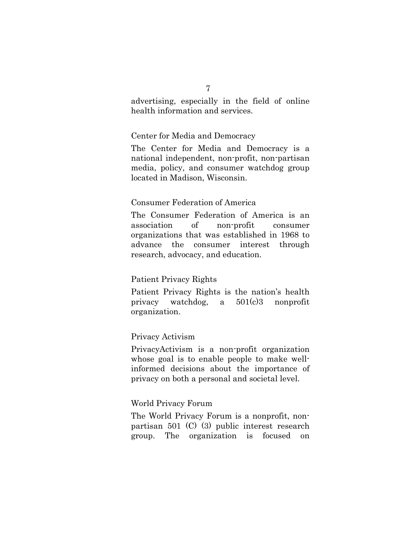advertising, especially in the field of online health information and services.

#### Center for Media and Democracy

The Center for Media and Democracy is a national independent, non-profit, non-partisan media, policy, and consumer watchdog group located in Madison, Wisconsin.

#### Consumer Federation of America

The Consumer Federation of America is an association of non-profit consumer organizations that was established in 1968 to advance the consumer interest through research, advocacy, and education.

#### Patient Privacy Rights

Patient Privacy Rights is the nation's health privacy watchdog, a 501(c)3 nonprofit organization.

#### Privacy Activism

PrivacyActivism is a non-profit organization whose goal is to enable people to make wellinformed decisions about the importance of privacy on both a personal and societal level.

#### World Privacy Forum

The World Privacy Forum is a nonprofit, nonpartisan 501 (C) (3) public interest research group. The organization is focused on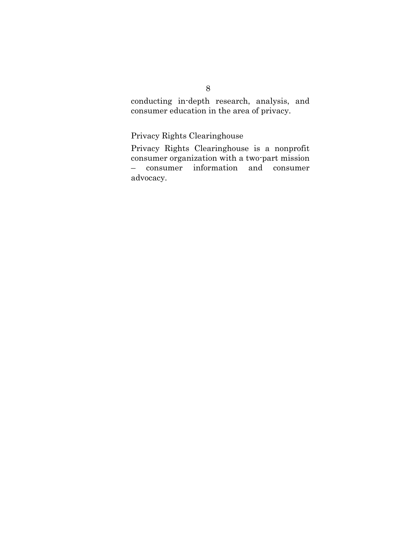conducting in-depth research, analysis, and consumer education in the area of privacy.

Privacy Rights Clearinghouse

Privacy Rights Clearinghouse is a nonprofit consumer organization with a two-part mission – consumer information and consumer advocacy.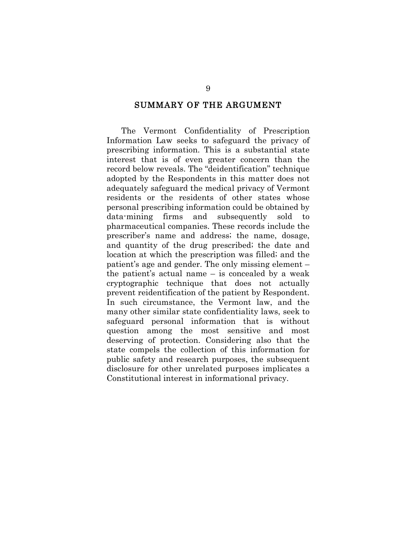#### SUMMARY OF THE ARGUMENT

The Vermont Confidentiality of Prescription Information Law seeks to safeguard the privacy of prescribing information. This is a substantial state interest that is of even greater concern than the record below reveals. The "deidentification" technique adopted by the Respondents in this matter does not adequately safeguard the medical privacy of Vermont residents or the residents of other states whose personal prescribing information could be obtained by data-mining firms and subsequently sold to pharmaceutical companies. These records include the prescriber's name and address; the name, dosage, and quantity of the drug prescribed; the date and location at which the prescription was filled; and the patient's age and gender. The only missing element – the patient's actual name  $-$  is concealed by a weak cryptographic technique that does not actually prevent reidentification of the patient by Respondent. In such circumstance, the Vermont law, and the many other similar state confidentiality laws, seek to safeguard personal information that is without question among the most sensitive and most deserving of protection. Considering also that the state compels the collection of this information for public safety and research purposes, the subsequent disclosure for other unrelated purposes implicates a Constitutional interest in informational privacy.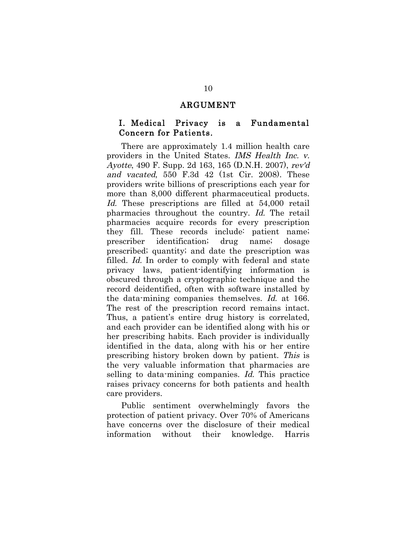#### ARGUMENT

### I. Medical Privacy is a Fundamental Concern for Patients.

There are approximately 1.4 million health care providers in the United States. IMS Health Inc. v. Ayotte, 490 F. Supp. 2d 163, 165 (D.N.H. 2007), rev'd and vacated, 550 F.3d 42 (1st Cir. 2008). These providers write billions of prescriptions each year for more than 8,000 different pharmaceutical products. Id. These prescriptions are filled at 54,000 retail pharmacies throughout the country. Id. The retail pharmacies acquire records for every prescription they fill. These records include: patient name; prescriber identification; drug name; dosage prescribed; quantity; and date the prescription was filled. Id. In order to comply with federal and state privacy laws, patient-identifying information is obscured through a cryptographic technique and the record deidentified, often with software installed by the data-mining companies themselves. Id. at 166. The rest of the prescription record remains intact. Thus, a patient's entire drug history is correlated, and each provider can be identified along with his or her prescribing habits. Each provider is individually identified in the data, along with his or her entire prescribing history broken down by patient. This is the very valuable information that pharmacies are selling to data-mining companies. Id. This practice raises privacy concerns for both patients and health care providers.

Public sentiment overwhelmingly favors the protection of patient privacy. Over 70% of Americans have concerns over the disclosure of their medical information without their knowledge. Harris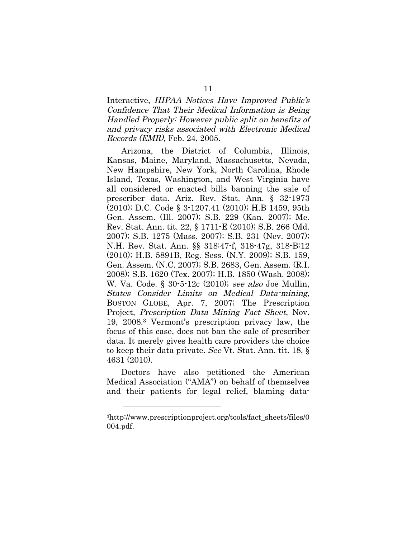Interactive, HIPAA Notices Have Improved Public's Confidence That Their Medical Information is Being Handled Properly: However public split on benefits of and privacy risks associated with Electronic Medical Records (EMR), Feb. 24, 2005.

Arizona, the District of Columbia, Illinois, Kansas, Maine, Maryland, Massachusetts, Nevada, New Hampshire, New York, North Carolina, Rhode Island, Texas, Washington, and West Virginia have all considered or enacted bills banning the sale of prescriber data. Ariz. Rev. Stat. Ann. § 32-1973 (2010); D.C. Code § 3-1207.41 (2010); H.B 1459, 95th Gen. Assem. (Ill. 2007); S.B. 229 (Kan. 2007); Me. Rev. Stat. Ann. tit. 22, § 1711-E (2010); S.B. 266 (Md. 2007); S.B. 1275 (Mass. 2007); S.B. 231 (Nev. 2007); N.H. Rev. Stat. Ann. §§ 318:47-f, 318-47g, 318-B:12 (2010); H.B. 5891B, Reg. Sess. (N.Y. 2009); S.B. 159, Gen. Assem. (N.C. 2007); S.B. 2683, Gen. Assem. (R.I. 2008); S.B. 1620 (Tex. 2007); H.B. 1850 (Wash. 2008); W. Va. Code. § 30-5-12c (2010); see also Joe Mullin, States Consider Limits on Medical Data-mining, BOSTON GLOBE, Apr. 7, 2007; The Prescription Project, Prescription Data Mining Fact Sheet, Nov. 19, 2008.3 Vermont's prescription privacy law, the focus of this case, does not ban the sale of prescriber data. It merely gives health care providers the choice to keep their data private. See Vt. Stat. Ann. tit. 18, § 4631 (2010).

Doctors have also petitioned the American Medical Association ("AMA") on behalf of themselves and their patients for legal relief, blaming data-

<sup>3</sup>http://www.prescriptionproject.org/tools/fact\_sheets/files/0 004.pdf.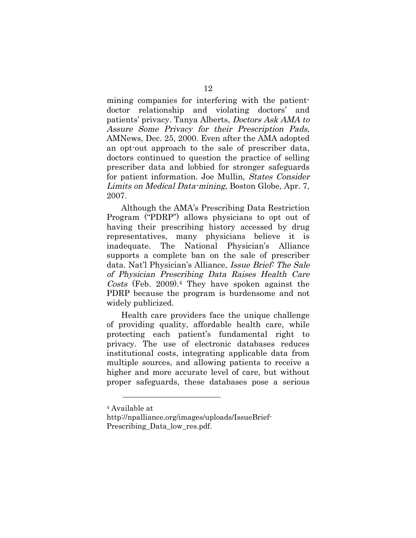mining companies for interfering with the patientdoctor relationship and violating doctors' and patients' privacy. Tanya Alberts, Doctors Ask AMA to Assure Some Privacy for their Prescription Pads, AMNews, Dec. 25, 2000. Even after the AMA adopted an opt-out approach to the sale of prescriber data, doctors continued to question the practice of selling prescriber data and lobbied for stronger safeguards for patient information. Joe Mullin, States Consider Limits on Medical Data-mining, Boston Globe, Apr. 7, 2007.

Although the AMA's Prescribing Data Restriction Program ("PDRP") allows physicians to opt out of having their prescribing history accessed by drug representatives, many physicians believe it is inadequate. The National Physician's Alliance supports a complete ban on the sale of prescriber data. Nat'l Physician's Alliance, Issue Brief: The Sale of Physician Prescribing Data Raises Health Care Costs (Feb. 2009).4 They have spoken against the PDRP because the program is burdensome and not widely publicized.

Health care providers face the unique challenge of providing quality, affordable health care, while protecting each patient's fundamental right to privacy. The use of electronic databases reduces institutional costs, integrating applicable data from multiple sources, and allowing patients to receive a higher and more accurate level of care, but without proper safeguards, these databases pose a serious

<sup>4</sup> Available at

http://npalliance.org/images/uploads/IssueBrief-Prescribing Data low res.pdf.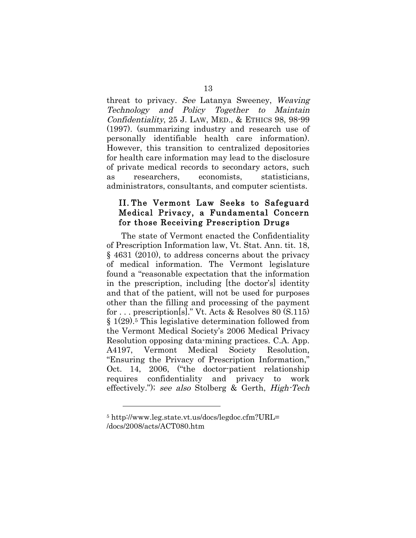threat to privacy. See Latanya Sweeney, Weaving Technology and Policy Together to Maintain Confidentiality, 25 J. LAW, MED., & ETHICS 98, 98-99 (1997). (summarizing industry and research use of personally identifiable health care information). However, this transition to centralized depositories for health care information may lead to the disclosure of private medical records to secondary actors, such as researchers, economists, statisticians, administrators, consultants, and computer scientists.

## II. The Vermont Law Seeks to Safeguard Medical Privacy, a Fundamental Concern for those Receiving Prescription Drugs

The state of Vermont enacted the Confidentiality of Prescription Information law, Vt. Stat. Ann. tit. 18, § 4631 (2010), to address concerns about the privacy of medical information. The Vermont legislature found a "reasonable expectation that the information in the prescription, including [the doctor's] identity and that of the patient, will not be used for purposes other than the filling and processing of the payment for . . . prescription[s]." Vt. Acts & Resolves 80 (S.115) § 1(29).5 This legislative determination followed from the Vermont Medical Society's 2006 Medical Privacy Resolution opposing data-mining practices. C.A. App. A4197, Vermont Medical Society Resolution, "Ensuring the Privacy of Prescription Information," Oct. 14, 2006, ("the doctor-patient relationship requires confidentiality and privacy to work effectively."); see also Stolberg & Gerth, High-Tech

<sup>5</sup> http://www.leg.state.vt.us/docs/legdoc.cfm?URL= /docs/2008/acts/ACT080.htm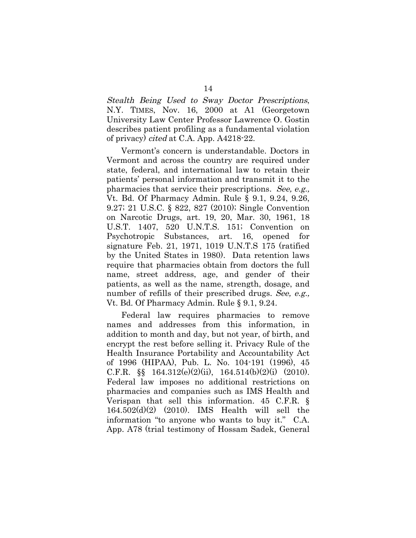Stealth Being Used to Sway Doctor Prescriptions, N.Y. TIMES, Nov. 16, 2000 at A1 (Georgetown University Law Center Professor Lawrence O. Gostin describes patient profiling as a fundamental violation of privacy) cited at C.A. App. A4218-22.

Vermont's concern is understandable. Doctors in Vermont and across the country are required under state, federal, and international law to retain their patients' personal information and transmit it to the pharmacies that service their prescriptions. See, e.g., Vt. Bd. Of Pharmacy Admin. Rule § 9.1, 9.24, 9.26, 9.27; 21 U.S.C. § 822, 827 (2010); Single Convention on Narcotic Drugs, art. 19, 20, Mar. 30, 1961, 18 U.S.T. 1407, 520 U.N.T.S. 151; Convention on Psychotropic Substances, art. 16, opened for signature Feb. 21, 1971, 1019 U.N.T.S 175 (ratified by the United States in 1980). Data retention laws require that pharmacies obtain from doctors the full name, street address, age, and gender of their patients, as well as the name, strength, dosage, and number of refills of their prescribed drugs. See, e.g., Vt. Bd. Of Pharmacy Admin. Rule § 9.1, 9.24.

Federal law requires pharmacies to remove names and addresses from this information, in addition to month and day, but not year, of birth, and encrypt the rest before selling it. Privacy Rule of the Health Insurance Portability and Accountability Act of 1996 (HIPAA), Pub. L. No. 104-191 (1996), 45 C.F.R.  $\S$  164.312(e)(2)(ii), 164.514(b)(2)(i) (2010). Federal law imposes no additional restrictions on pharmacies and companies such as IMS Health and Verispan that sell this information. 45 C.F.R. § 164.502(d)(2) (2010). IMS Health will sell the information "to anyone who wants to buy it." C.A. App. A78 (trial testimony of Hossam Sadek, General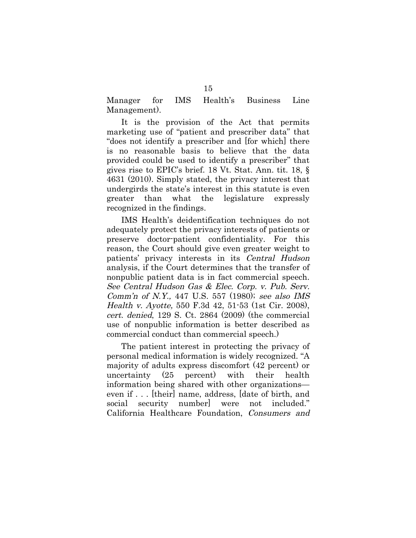Manager for IMS Health's Business Line Management).

It is the provision of the Act that permits marketing use of "patient and prescriber data" that "does not identify a prescriber and [for which] there is no reasonable basis to believe that the data provided could be used to identify a prescriber" that gives rise to EPIC's brief. 18 Vt. Stat. Ann. tit. 18, § 4631 (2010). Simply stated, the privacy interest that undergirds the state's interest in this statute is even greater than what the legislature expressly recognized in the findings.

IMS Health's deidentification techniques do not adequately protect the privacy interests of patients or preserve doctor-patient confidentiality. For this reason, the Court should give even greater weight to patients' privacy interests in its Central Hudson analysis, if the Court determines that the transfer of nonpublic patient data is in fact commercial speech. See Central Hudson Gas & Elec. Corp. v. Pub. Serv. Comm'n of N.Y., 447 U.S. 557 (1980); see also IMS Health v. Ayotte, 550 F.3d 42, 51-53 (1st Cir. 2008), cert. denied, 129 S. Ct. 2864 (2009) (the commercial use of nonpublic information is better described as commercial conduct than commercial speech.)

The patient interest in protecting the privacy of personal medical information is widely recognized. "A majority of adults express discomfort (42 percent) or uncertainty (25 percent) with their health information being shared with other organizations even if . . . [their] name, address, [date of birth, and social security number] were not included." California Healthcare Foundation, Consumers and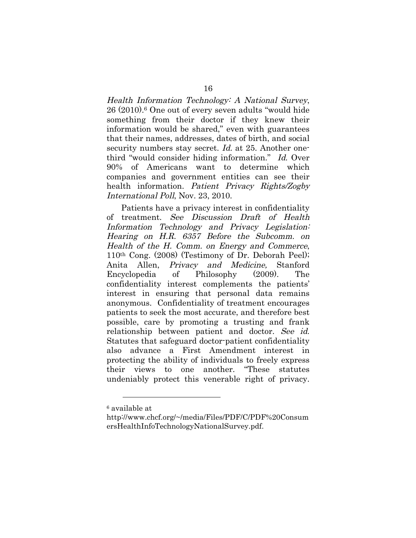Health Information Technology: A National Survey, 26 (2010).6 One out of every seven adults "would hide something from their doctor if they knew their information would be shared," even with guarantees that their names, addresses, dates of birth, and social security numbers stay secret. *Id.* at 25. Another onethird "would consider hiding information." Id. Over 90% of Americans want to determine which companies and government entities can see their health information. Patient Privacy Rights/Zogby International Poll, Nov. 23, 2010.

Patients have a privacy interest in confidentiality of treatment. See Discussion Draft of Health Information Technology and Privacy Legislation: Hearing on H.R. 6357 Before the Subcomm. on Health of the H. Comm. on Energy and Commerce, 110th Cong. (2008) (Testimony of Dr. Deborah Peel); Anita Allen, Privacy and Medicine, Stanford Encyclopedia of Philosophy (2009). The confidentiality interest complements the patients' interest in ensuring that personal data remains anonymous. Confidentiality of treatment encourages patients to seek the most accurate, and therefore best possible, care by promoting a trusting and frank relationship between patient and doctor. See id. Statutes that safeguard doctor-patient confidentiality also advance a First Amendment interest in protecting the ability of individuals to freely express their views to one another. "These statutes undeniably protect this venerable right of privacy.

<sup>6</sup> available at

http://www.chcf.org/~/media/Files/PDF/C/PDF%20Consum ersHealthInfoTechnologyNationalSurvey.pdf.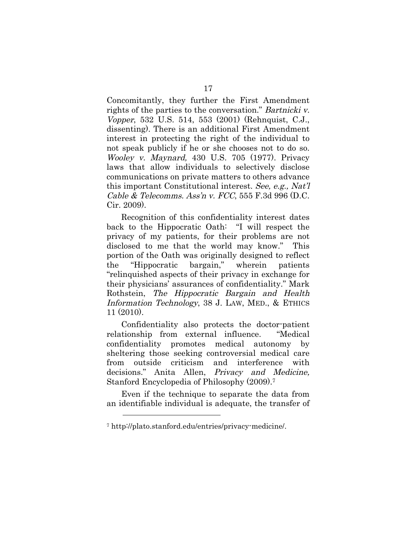Concomitantly, they further the First Amendment rights of the parties to the conversation." Bartnicki v. Vopper, 532 U.S. 514, 553 (2001) (Rehnquist, C.J., dissenting). There is an additional First Amendment interest in protecting the right of the individual to not speak publicly if he or she chooses not to do so. Wooley v. Maynard, 430 U.S. 705 (1977). Privacy laws that allow individuals to selectively disclose communications on private matters to others advance this important Constitutional interest. See, e.g., Nat'l Cable & Telecomms. Ass'n v.  $FCC$ , 555 F.3d 996 (D.C.) Cir. 2009).

Recognition of this confidentiality interest dates back to the Hippocratic Oath: "I will respect the privacy of my patients, for their problems are not disclosed to me that the world may know." This portion of the Oath was originally designed to reflect the "Hippocratic bargain," wherein patients "relinquished aspects of their privacy in exchange for their physicians' assurances of confidentiality." Mark Rothstein, The Hippocratic Bargain and Health Information Technology, 38 J. LAW, MED., & ETHICS 11 (2010).

Confidentiality also protects the doctor-patient relationship from external influence. "Medical confidentiality promotes medical autonomy by sheltering those seeking controversial medical care from outside criticism and interference with decisions." Anita Allen, Privacy and Medicine, Stanford Encyclopedia of Philosophy (2009).7

Even if the technique to separate the data from an identifiable individual is adequate, the transfer of

<sup>7</sup> http://plato.stanford.edu/entries/privacy-medicine/.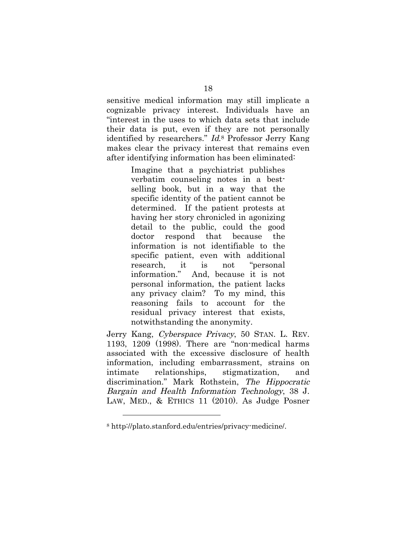sensitive medical information may still implicate a cognizable privacy interest. Individuals have an "interest in the uses to which data sets that include their data is put, even if they are not personally identified by researchers." Id.8 Professor Jerry Kang makes clear the privacy interest that remains even after identifying information has been eliminated:

> Imagine that a psychiatrist publishes verbatim counseling notes in a bestselling book, but in a way that the specific identity of the patient cannot be determined. If the patient protests at having her story chronicled in agonizing detail to the public, could the good doctor respond that because the information is not identifiable to the specific patient, even with additional research, it is not "personal information." And, because it is not personal information, the patient lacks any privacy claim? To my mind, this reasoning fails to account for the residual privacy interest that exists, notwithstanding the anonymity.

Jerry Kang, Cyberspace Privacy, 50 STAN. L. REV. 1193, 1209 (1998). There are "non-medical harms associated with the excessive disclosure of health information, including embarrassment, strains on intimate relationships, stigmatization, and discrimination." Mark Rothstein, The Hippocratic Bargain and Health Information Technology, 38 J. LAW, MED., & ETHICS 11 (2010). As Judge Posner

<sup>8</sup> http://plato.stanford.edu/entries/privacy-medicine/.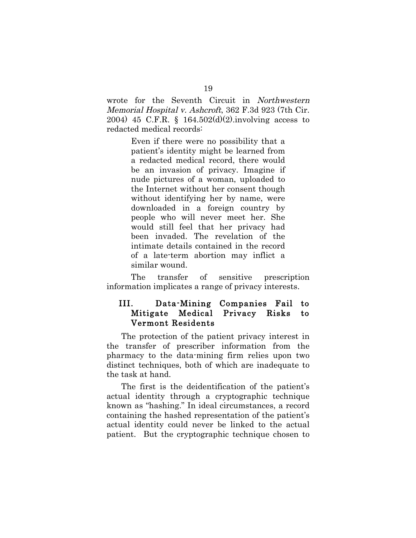wrote for the Seventh Circuit in Northwestern Memorial Hospital v. Ashcroft, 362 F.3d 923 (7th Cir. 2004) 45 C.F.R. § 164.502(d)(2).involving access to redacted medical records:

> Even if there were no possibility that a patient's identity might be learned from a redacted medical record, there would be an invasion of privacy. Imagine if nude pictures of a woman, uploaded to the Internet without her consent though without identifying her by name, were downloaded in a foreign country by people who will never meet her. She would still feel that her privacy had been invaded. The revelation of the intimate details contained in the record of a late-term abortion may inflict a similar wound.

The transfer of sensitive prescription information implicates a range of privacy interests.

## III. Data-Mining Companies Fail to Mitigate Medical Privacy Risks to Vermont Residents

The protection of the patient privacy interest in the transfer of prescriber information from the pharmacy to the data-mining firm relies upon two distinct techniques, both of which are inadequate to the task at hand.

The first is the deidentification of the patient's actual identity through a cryptographic technique known as "hashing." In ideal circumstances, a record containing the hashed representation of the patient's actual identity could never be linked to the actual patient. But the cryptographic technique chosen to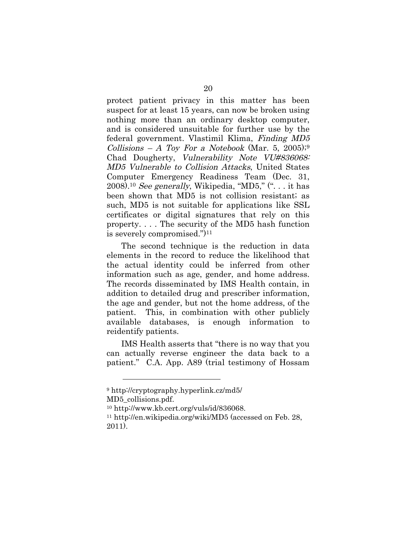protect patient privacy in this matter has been suspect for at least 15 years, can now be broken using nothing more than an ordinary desktop computer, and is considered unsuitable for further use by the federal government. Vlastimil Klima, Finding MD5 Collisions – A Toy For a Notebook (Mar. 5, 2005);<sup>9</sup> Chad Dougherty, Vulnerability Note VU#836068: MD5 Vulnerable to Collision Attacks, United States Computer Emergency Readiness Team (Dec. 31, 2008).<sup>10</sup> See generally, Wikipedia, "MD5,"  $($ "... it has been shown that MD5 is not collision resistant; as such, MD5 is not suitable for applications like SSL certificates or digital signatures that rely on this property. . . . The security of the MD5 hash function is severely compromised.")11

The second technique is the reduction in data elements in the record to reduce the likelihood that the actual identity could be inferred from other information such as age, gender, and home address. The records disseminated by IMS Health contain, in addition to detailed drug and prescriber information, the age and gender, but not the home address, of the patient. This, in combination with other publicly available databases, is enough information to reidentify patients.

IMS Health asserts that "there is no way that you can actually reverse engineer the data back to a patient." C.A. App. A89 (trial testimony of Hossam

<sup>9</sup> http://cryptography.hyperlink.cz/md5/

MD5\_collisions.pdf.

<sup>10</sup> http://www.kb.cert.org/vuls/id/836068.

<sup>11</sup> http://en.wikipedia.org/wiki/MD5 (accessed on Feb. 28, 2011).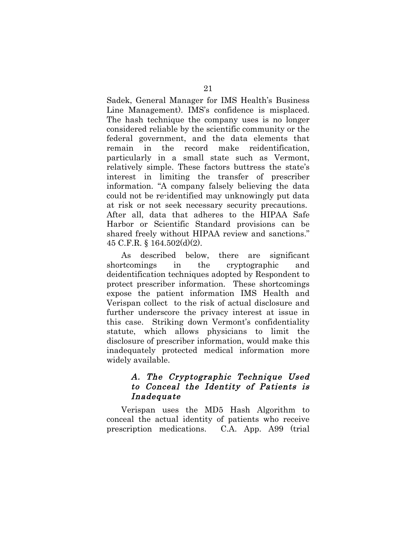Sadek, General Manager for IMS Health's Business Line Management). IMS's confidence is misplaced. The hash technique the company uses is no longer considered reliable by the scientific community or the federal government, and the data elements that remain in the record make reidentification, particularly in a small state such as Vermont, relatively simple. These factors buttress the state's interest in limiting the transfer of prescriber information. "A company falsely believing the data could not be re-identified may unknowingly put data at risk or not seek necessary security precautions. After all, data that adheres to the HIPAA Safe Harbor or Scientific Standard provisions can be shared freely without HIPAA review and sanctions." 45 C.F.R. § 164.502(d)(2).

As described below, there are significant shortcomings in the cryptographic and deidentification techniques adopted by Respondent to protect prescriber information. These shortcomings expose the patient information IMS Health and Verispan collect to the risk of actual disclosure and further underscore the privacy interest at issue in this case. Striking down Vermont's confidentiality statute, which allows physicians to limit the disclosure of prescriber information, would make this inadequately protected medical information more widely available.

## A. The Cryptographic Technique Used to Conceal the Identity of Patients is Inadequate

Verispan uses the MD5 Hash Algorithm to conceal the actual identity of patients who receive prescription medications. C.A. App. A99 (trial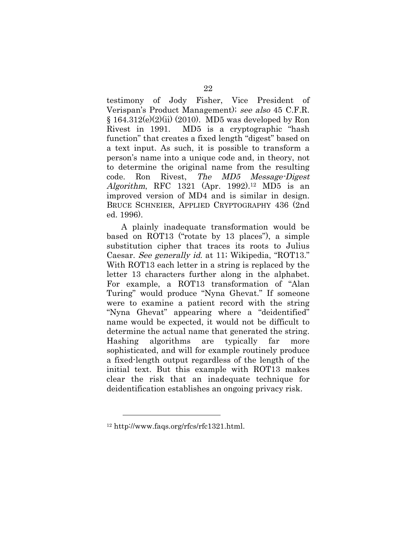testimony of Jody Fisher, Vice President of Verispan's Product Management); see also 45 C.F.R.  $§ 164.312(e)(2)(ii) (2010)$ . MD5 was developed by Ron Rivest in 1991. MD5 is a cryptographic "hash function" that creates a fixed length "digest" based on a text input. As such, it is possible to transform a person's name into a unique code and, in theory, not to determine the original name from the resulting code. Ron Rivest, The MD5 Message-Digest Algorithm, RFC 1321 (Apr. 1992).<sup>12</sup> MD5 is an improved version of MD4 and is similar in design. BRUCE SCHNEIER, APPLIED CRYPTOGRAPHY 436 (2nd ed. 1996).

A plainly inadequate transformation would be based on ROT13 ("rotate by 13 places"), a simple substitution cipher that traces its roots to Julius Caesar. See generally id. at 11; Wikipedia, "ROT13." With ROT13 each letter in a string is replaced by the letter 13 characters further along in the alphabet. For example, a ROT13 transformation of "Alan Turing" would produce "Nyna Ghevat." If someone were to examine a patient record with the string "Nyna Ghevat" appearing where a "deidentified" name would be expected, it would not be difficult to determine the actual name that generated the string. Hashing algorithms are typically far more sophisticated, and will for example routinely produce a fixed-length output regardless of the length of the initial text. But this example with ROT13 makes clear the risk that an inadequate technique for deidentification establishes an ongoing privacy risk.

<sup>12</sup> http://www.faqs.org/rfcs/rfc1321.html.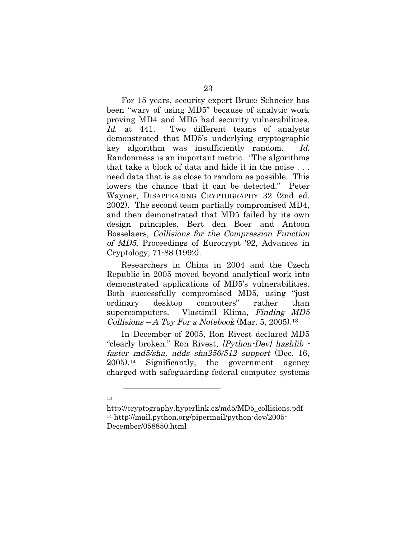For 15 years, security expert Bruce Schneier has been "wary of using MD5" because of analytic work proving MD4 and MD5 had security vulnerabilities. Id. at 441. Two different teams of analysts demonstrated that MD5's underlying cryptographic key algorithm was insufficiently random. Id. Randomness is an important metric. "The algorithms that take a block of data and hide it in the noise . . . need data that is as close to random as possible. This lowers the chance that it can be detected." Peter Wayner, DISAPPEARING CRYPTOGRAPHY 32 (2nd ed. 2002). The second team partially compromised MD4, and then demonstrated that MD5 failed by its own design principles. Bert den Boer and Antoon Bosselaers, Collisions for the Compression Function of MD5, Proceedings of Eurocrypt '92, Advances in Cryptology, 71-88 (1992).

Researchers in China in 2004 and the Czech Republic in 2005 moved beyond analytical work into demonstrated applications of MD5's vulnerabilities. Both successfully compromised MD5, using "just ordinary desktop computers" rather than supercomputers. Vlastimil Klima, Finding MD5 Collisions – A Toy For a Notebook (Mar. 5, 2005).<sup>13</sup>

In December of 2005, Ron Rivest declared MD5 "clearly broken." Ron Rivest, [Python-Dev] hashlib faster md5/sha, adds sha256/512 support (Dec. 16, 2005).14 Significantly, the government agency charged with safeguarding federal computer systems

<sup>13</sup>

http://cryptography.hyperlink.cz/md5/MD5\_collisions.pdf 14 http://mail.python.org/pipermail/python-dev/2005- December/058850.html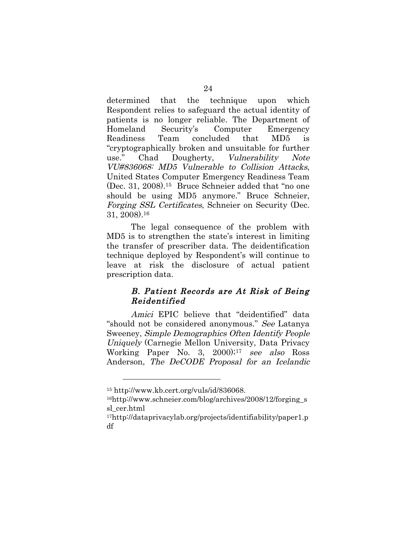determined that the technique upon which Respondent relies to safeguard the actual identity of patients is no longer reliable. The Department of Homeland Security's Computer Emergency Readiness Team concluded that MD5 is "cryptographically broken and unsuitable for further use." Chad Dougherty, Vulnerability Note VU#836068: MD5 Vulnerable to Collision Attacks, United States Computer Emergency Readiness Team (Dec. 31, 2008).15 Bruce Schneier added that "no one should be using MD5 anymore." Bruce Schneier, Forging SSL Certificates, Schneier on Security (Dec. 31, 2008).16

The legal consequence of the problem with MD5 is to strengthen the state's interest in limiting the transfer of prescriber data. The deidentification technique deployed by Respondent's will continue to leave at risk the disclosure of actual patient prescription data.

### B. Patient Records are At Risk of Being Reidentified

 Amici EPIC believe that "deidentified" data "should not be considered anonymous." See Latanya Sweeney, Simple Demographics Often Identify People Uniquely (Carnegie Mellon University, Data Privacy Working Paper No. 3, 2000);<sup>17</sup> see also Ross Anderson, The DeCODE Proposal for an Icelandic

<sup>15</sup> http://www.kb.cert.org/vuls/id/836068.

<sup>16</sup>http://www.schneier.com/blog/archives/2008/12/forging\_s sl\_cer.html

<sup>17</sup>http://dataprivacylab.org/projects/identifiability/paper1.p df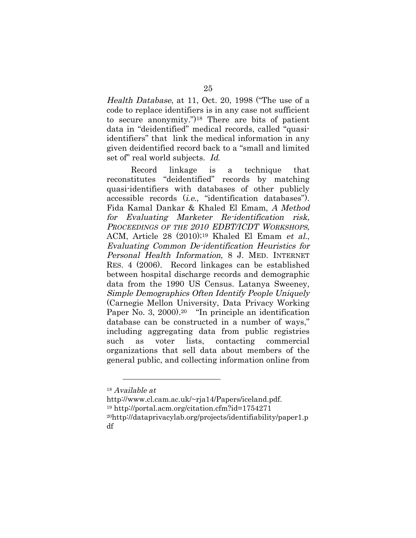Health Database, at 11, Oct. 20, 1998 ("The use of a code to replace identifiers is in any case not sufficient to secure anonymity.")18 There are bits of patient data in "deidentified" medical records, called "quasiidentifiers" that link the medical information in any given deidentified record back to a "small and limited set of" real world subjects. Id.

Record linkage is a technique that reconstitutes "deidentified" records by matching quasi-identifiers with databases of other publicly accessible records (i.e., "identification databases"). Fida Kamal Dankar & Khaled El Emam, A Method for Evaluating Marketer Re-identification risk, PROCEEDINGS OF THE 2010 EDBT/ICDT WORKSHOPS, ACM, Article 28 (2010);<sup>19</sup> Khaled El Emam et al., Evaluating Common De-identification Heuristics for Personal Health Information, 8 J. MED. INTERNET RES. 4 (2006). Record linkages can be established between hospital discharge records and demographic data from the 1990 US Census. Latanya Sweeney, Simple Demographics Often Identify People Uniquely (Carnegie Mellon University, Data Privacy Working Paper No. 3, 2000).<sup>20</sup> "In principle an identification" database can be constructed in a number of ways," including aggregating data from public registries such as voter lists, contacting commercial organizations that sell data about members of the general public, and collecting information online from

<sup>18</sup> Available at

http://www.cl.cam.ac.uk/~rja14/Papers/iceland.pdf. 19 http://portal.acm.org/citation.cfm?id=1754271 20http://dataprivacylab.org/projects/identifiability/paper1.p df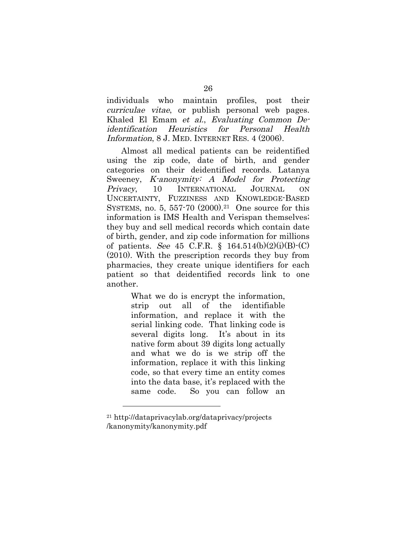individuals who maintain profiles, post their curriculae vitae, or publish personal web pages. Khaled El Emam et al., Evaluating Common Deidentification Heuristics for Personal Health Information, 8 J. MED. INTERNET RES. 4 (2006).

Almost all medical patients can be reidentified using the zip code, date of birth, and gender categories on their deidentified records. Latanya Sweeney, K-anonymity: A Model for Protecting Privacy, 10 INTERNATIONAL JOURNAL ON UNCERTAINTY, FUZZINESS AND KNOWLEDGE-BASED SYSTEMS, no. 5, 557-70  $(2000).^{21}$  One source for this information is IMS Health and Verispan themselves; they buy and sell medical records which contain date of birth, gender, and zip code information for millions of patients. See 45 C.F.R.  $\S$  164.514(b)(2)(i)(B) $\cdot$ (C) (2010). With the prescription records they buy from pharmacies, they create unique identifiers for each patient so that deidentified records link to one another.

> What we do is encrypt the information, strip out all of the identifiable information, and replace it with the serial linking code. That linking code is several digits long. It's about in its native form about 39 digits long actually and what we do is we strip off the information, replace it with this linking code, so that every time an entity comes into the data base, it's replaced with the same code. So you can follow an

<sup>21</sup> http://dataprivacylab.org/dataprivacy/projects /kanonymity/kanonymity.pdf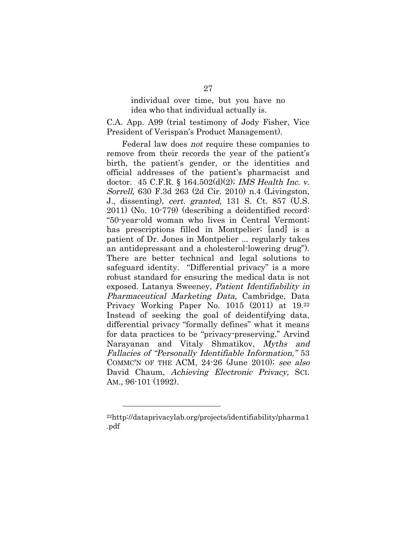#### individual over time, but you have no idea who that individual actually is.

C.A. App. A99 (trial testimony of Jody Fisher, Vice President of Verispan's Product Management).

Federal law does not require these companies to remove from their records the year of the patient's birth, the patient's gender, or the identities and official addresses of the patient's pharmacist and doctor. 45 C.F.R. § 164.502(d)(2); IMS Health Inc. v. Sorrell, 630 F.3d 263 (2d Cir. 2010) n.4 (Livingston, J., dissenting), cert. granted, 131 S. Ct. 857 (U.S. 2011) (No. 10-779) (describing a deidentified record: "50-year-old woman who lives in Central Vermont; has prescriptions filled in Montpelier; [and] is a patient of Dr. Jones in Montpelier ... regularly takes an antidepressant and a cholesterol-lowering drug"). There are better technical and legal solutions to safeguard identity. "Differential privacy" is a more robust standard for ensuring the medical data is not exposed. Latanya Sweeney, Patient Identifiability in Pharmaceutical Marketing Data, Cambridge, Data Privacy Working Paper No. 1015 (2011) at 19.22 Instead of seeking the goal of deidentifying data, differential privacy "formally defines" what it means for data practices to be "privacy-preserving." Arvind Narayanan and Vitaly Shmatikov, Myths and Fallacies of "Personally Identifiable Information," 53 COMMC'N OF THE ACM, 24-26 (June 2010); see also David Chaum, Achieving Electronic Privacy, SCI. AM., 96-101 (1992).

<sup>22</sup>http://dataprivacylab.org/projects/identifiability/pharma1 .pdf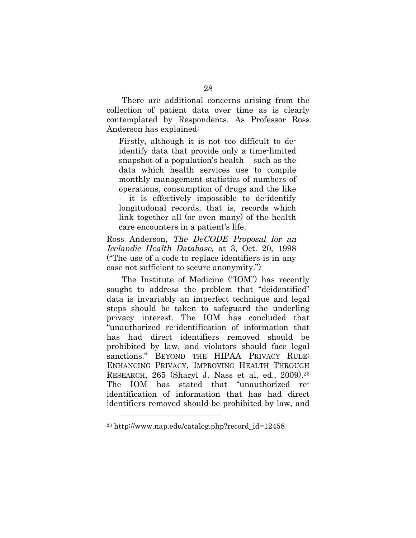There are additional concerns arising from the collection of patient data over time as is clearly contemplated by Respondents. As Professor Ross Anderson has explained:

Firstly, although it is not too difficult to deidentify data that provide only a time-limited snapshot of a population's health – such as the data which health services use to compile monthly management statistics of numbers of operations, consumption of drugs and the like – it is effectively impossible to de-identify longitudonal records, that is, records which link together all (or even many) of the health care encounters in a patient's life.

Ross Anderson, The DeCODE Proposal for an Icelandic Health Database, at 3, Oct. 20, 1998 ("The use of a code to replace identifiers is in any case not sufficient to secure anonymity.")

The Institute of Medicine ("IOM") has recently sought to address the problem that "deidentified" data is invariably an imperfect technique and legal steps should be taken to safeguard the underling privacy interest. The IOM has concluded that "unauthorized re-identification of information that has had direct identifiers removed should be prohibited by law, and violators should face legal sanctions." BEYOND THE HIPAA PRIVACY RULE: ENHANCING PRIVACY, IMPROVING HEALTH THROUGH RESEARCH, 265 (Sharyl J. Nass et al, ed., 2009).23 The IOM has stated that "unauthorized reidentification of information that has had direct identifiers removed should be prohibited by law, and

<sup>23</sup> http://www.nap.edu/catalog.php?record\_id=12458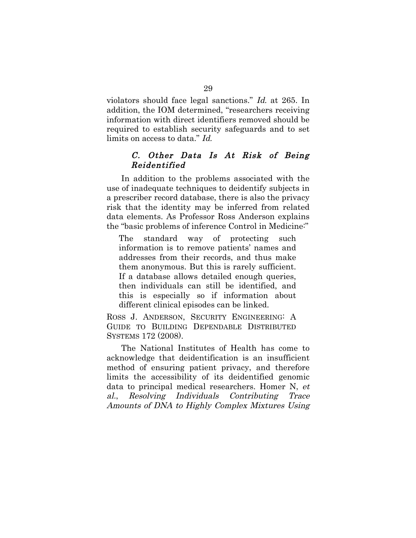violators should face legal sanctions." Id. at 265. In addition, the IOM determined, "researchers receiving information with direct identifiers removed should be required to establish security safeguards and to set limits on access to data." Id.

### C. Other Data Is At Risk of Being Reidentified

In addition to the problems associated with the use of inadequate techniques to deidentify subjects in a prescriber record database, there is also the privacy risk that the identity may be inferred from related data elements. As Professor Ross Anderson explains the "basic problems of inference Control in Medicine:"

The standard way of protecting such information is to remove patients' names and addresses from their records, and thus make them anonymous. But this is rarely sufficient. If a database allows detailed enough queries, then individuals can still be identified, and this is especially so if information about different clinical episodes can be linked.

ROSS J. ANDERSON, SECURITY ENGINEERING: A GUIDE TO BUILDING DEPENDABLE DISTRIBUTED SYSTEMS 172 (2008).

The National Institutes of Health has come to acknowledge that deidentification is an insufficient method of ensuring patient privacy, and therefore limits the accessibility of its deidentified genomic data to principal medical researchers. Homer N, et al., Resolving Individuals Contributing Trace Amounts of DNA to Highly Complex Mixtures Using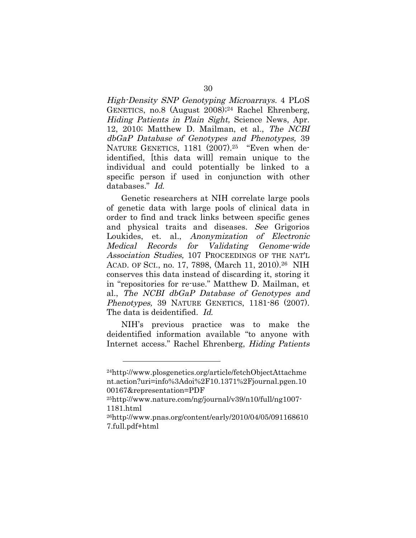High-Density SNP Genotyping Microarrays. 4 PLOS GENETICS, no.8 (August 2008);24 Rachel Ehrenberg, Hiding Patients in Plain Sight, Science News, Apr. 12, 2010; Matthew D. Mailman, et al., The NCBI dbGaP Database of Genotypes and Phenotypes, 39 NATURE GENETICS, 1181 (2007).<sup>25</sup> "Even when deidentified, [this data will] remain unique to the individual and could potentially be linked to a specific person if used in conjunction with other databases." Id.

Genetic researchers at NIH correlate large pools of genetic data with large pools of clinical data in order to find and track links between specific genes and physical traits and diseases. See Grigorios Loukides, et. al., Anonymization of Electronic Medical Records for Validating Genome-wide Association Studies, 107 PROCEEDINGS OF THE NAT'L ACAD. OF SCI., no. 17, 7898, (March 11, 2010).26 NIH conserves this data instead of discarding it, storing it in "repositories for re-use." Matthew D. Mailman, et al., The NCBI dbGaP Database of Genotypes and Phenotypes, 39 NATURE GENETICS, 1181-86 (2007). The data is deidentified. Id.

NIH's previous practice was to make the deidentified information available "to anyone with Internet access." Rachel Ehrenberg, Hiding Patients

<sup>24</sup>http://www.plosgenetics.org/article/fetchObjectAttachme nt.action?uri=info%3Adoi%2F10.1371%2Fjournal.pgen.10 00167&representation=PDF

<sup>25</sup>http://www.nature.com/ng/journal/v39/n10/full/ng1007- 1181.html

<sup>26</sup>http://www.pnas.org/content/early/2010/04/05/091168610 7.full.pdf+html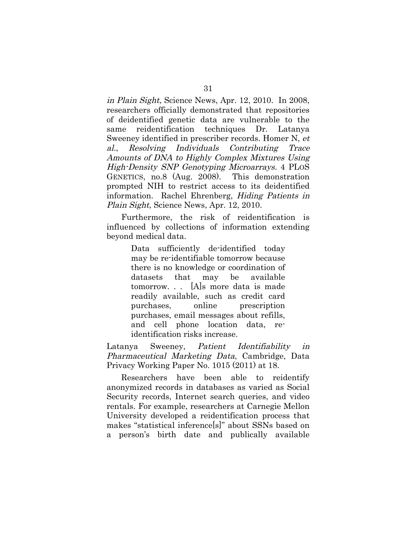in Plain Sight, Science News, Apr. 12, 2010. In 2008, researchers officially demonstrated that repositories of deidentified genetic data are vulnerable to the same reidentification techniques Dr. Latanya Sweeney identified in prescriber records. Homer N, et al., Resolving Individuals Contributing Trace Amounts of DNA to Highly Complex Mixtures Using High-Density SNP Genotyping Microarrays. 4 PLOS GENETICS, no.8 (Aug. 2008). This demonstration prompted NIH to restrict access to its deidentified information. Rachel Ehrenberg, Hiding Patients in Plain Sight, Science News, Apr. 12, 2010.

Furthermore, the risk of reidentification is influenced by collections of information extending beyond medical data.

> Data sufficiently de-identified today may be re-identifiable tomorrow because there is no knowledge or coordination of datasets that may be available tomorrow. . . [A]s more data is made readily available, such as credit card purchases, online prescription purchases, email messages about refills, and cell phone location data, reidentification risks increase.

Latanya Sweeney, Patient Identifiability in Pharmaceutical Marketing Data, Cambridge, Data Privacy Working Paper No. 1015 (2011) at 18.

Researchers have been able to reidentify anonymized records in databases as varied as Social Security records, Internet search queries, and video rentals. For example, researchers at Carnegie Mellon University developed a reidentification process that makes "statistical inference[s]" about SSNs based on a person's birth date and publically available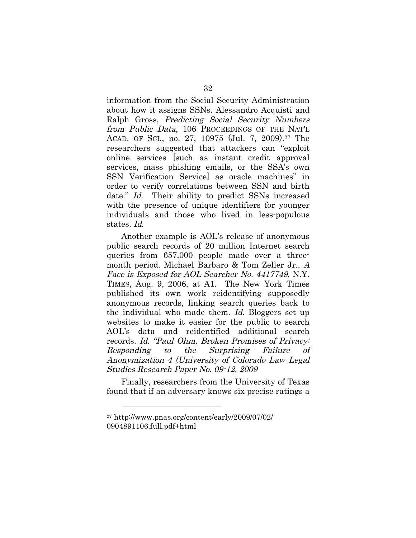information from the Social Security Administration about how it assigns SSNs. Alessandro Acquisti and Ralph Gross, Predicting Social Security Numbers from Public Data, 106 PROCEEDINGS OF THE NAT'L ACAD. OF SCI., no. 27, 10975 (Jul. 7, 2009).27 The researchers suggested that attackers can "exploit online services [such as instant credit approval services, mass phishing emails, or the SSA's own SSN Verification Service] as oracle machines" in order to verify correlations between SSN and birth date." Id. Their ability to predict SSNs increased with the presence of unique identifiers for younger individuals and those who lived in less-populous states. Id.

Another example is AOL's release of anonymous public search records of 20 million Internet search queries from 657,000 people made over a threemonth period. Michael Barbaro & Tom Zeller Jr., A Face is Exposed for AOL Searcher No. 4417749, N.Y. TIMES, Aug. 9, 2006, at A1. The New York Times published its own work reidentifying supposedly anonymous records, linking search queries back to the individual who made them. Id. Bloggers set up websites to make it easier for the public to search AOL's data and reidentified additional search records. Id. "Paul Ohm, Broken Promises of Privacy: Responding to the Surprising Failure of Anonymization 4 (University of Colorado Law Legal Studies Research Paper No. 09-12, 2009

Finally, researchers from the University of Texas found that if an adversary knows six precise ratings a

<sup>27</sup> http://www.pnas.org/content/early/2009/07/02/ 0904891106.full.pdf+html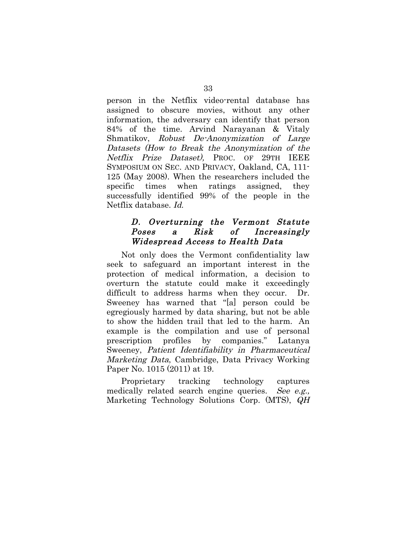person in the Netflix video-rental database has assigned to obscure movies, without any other information, the adversary can identify that person 84% of the time. Arvind Narayanan & Vitaly Shmatikov, Robust De-Anonymization of Large Datasets (How to Break the Anonymization of the Netflix Prize Dataset), PROC. OF 29TH IEEE SYMPOSIUM ON SEC. AND PRIVACY, Oakland, CA, 111- 125 (May 2008). When the researchers included the specific times when ratings assigned, they successfully identified 99% of the people in the Netflix database. Id.

## D. Overturning the Vermont Statute Poses a Risk of Increasingly Widespread Access to Health Data

Not only does the Vermont confidentiality law seek to safeguard an important interest in the protection of medical information, a decision to overturn the statute could make it exceedingly difficult to address harms when they occur. Dr. Sweeney has warned that "[a] person could be egregiously harmed by data sharing, but not be able to show the hidden trail that led to the harm. An example is the compilation and use of personal prescription profiles by companies." Latanya Sweeney, Patient Identifiability in Pharmaceutical Marketing Data, Cambridge, Data Privacy Working Paper No. 1015 (2011) at 19.

Proprietary tracking technology captures medically related search engine queries. See e.g., Marketing Technology Solutions Corp. (MTS), QH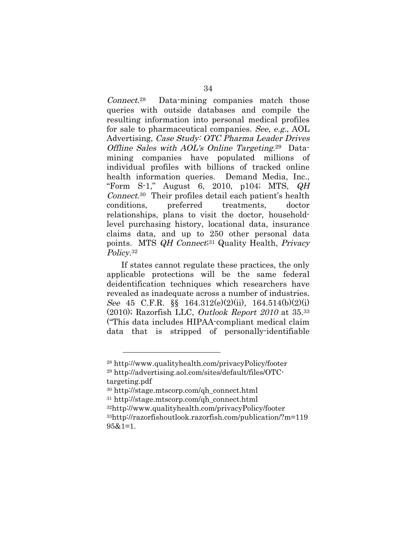Connect.28 Data-mining companies match those queries with outside databases and compile the resulting information into personal medical profiles for sale to pharmaceutical companies. See, e.g., AOL Advertising, Case Study: OTC Pharma Leader Drives Offline Sales with AOL's Online Targeting.29 Datamining companies have populated millions individual profiles with billions of tracked online health information queries. Demand Media, Inc., "Form S-1," August 6, 2010, p104; MTS,  $QH$ Connect.30 Their profiles detail each patient's health conditions, preferred treatments, doctor relationships, plans to visit the doctor, householdlevel purchasing history, locational data, insurance claims data, and up to 250 other personal data points. MTS *QH Connect*<sup>31</sup> Quality Health, *Privacy* Policy.<sup>32</sup>

If states cannot regulate these practices, the only applicable protections will be the same federal deidentification techniques which researchers have revealed as inadequate across a number of industries. See 45 C.F.R.  $\S$  164.312(e)(2)(ii), 164.514(b)(2)(i)  $(2010)$ ; Razorfish LLC, *Outlook Report 2010* at  $35^{33}$ ("This data includes HIPAA-compliant medical claim data that is stripped of personally-identifiable

<sup>28</sup> http://www.qualityhealth.com/privacyPolicy/footer

<sup>29</sup> http://advertising.aol.com/sites/default/files/OTCtargeting.pdf

<sup>30</sup> http://stage.mtscorp.com/qh\_connect.html

<sup>31</sup> http://stage.mtscorp.com/qh\_connect.html

<sup>32</sup>http://www.qualityhealth.com/privacyPolicy/footer

<sup>33</sup>http://razorfishoutlook.razorfish.com/publication/?m=119 95&1=1.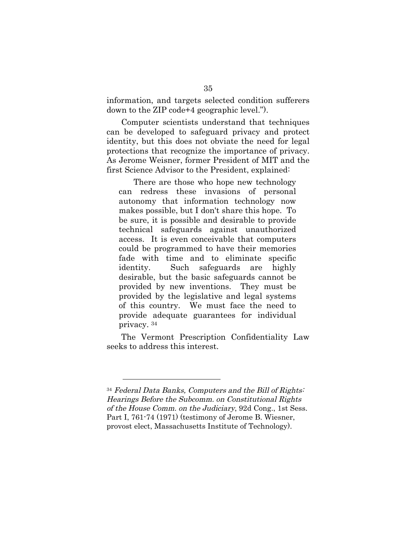information, and targets selected condition sufferers down to the ZIP code+4 geographic level.").

Computer scientists understand that techniques can be developed to safeguard privacy and protect identity, but this does not obviate the need for legal protections that recognize the importance of privacy. As Jerome Weisner, former President of MIT and the first Science Advisor to the President, explained:

There are those who hope new technology can redress these invasions of personal autonomy that information technology now makes possible, but I don't share this hope. To be sure, it is possible and desirable to provide technical safeguards against unauthorized access. It is even conceivable that computers could be programmed to have their memories fade with time and to eliminate specific identity. Such safeguards are highly desirable, but the basic safeguards cannot be provided by new inventions. They must be provided by the legislative and legal systems of this country. We must face the need to provide adequate guarantees for individual privacy. 34

The Vermont Prescription Confidentiality Law seeks to address this interest.

<sup>34</sup> Federal Data Banks, Computers and the Bill of Rights: Hearings Before the Subcomm. on Constitutional Rights of the House Comm. on the Judiciary, 92d Cong., 1st Sess. Part I, 761-74 (1971) (testimony of Jerome B. Wiesner, provost elect, Massachusetts Institute of Technology).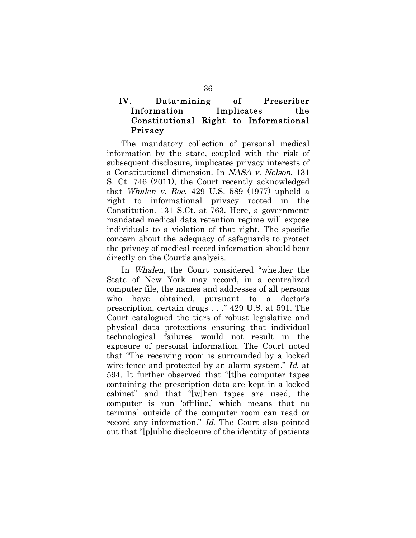## IV. Data-mining of Prescriber Information Implicates the Constitutional Right to Informational Privacy

The mandatory collection of personal medical information by the state, coupled with the risk of subsequent disclosure, implicates privacy interests of a Constitutional dimension. In NASA v. Nelson, 131 S. Ct. 746 (2011), the Court recently acknowledged that Whalen v. Roe, 429 U.S. 589  $(1977)$  upheld a right to informational privacy rooted in the Constitution. 131 S.Ct. at 763. Here, a governmentmandated medical data retention regime will expose individuals to a violation of that right. The specific concern about the adequacy of safeguards to protect the privacy of medical record information should bear directly on the Court's analysis.

In Whalen, the Court considered "whether the State of New York may record, in a centralized computer file, the names and addresses of all persons who have obtained, pursuant to a doctor's prescription, certain drugs . . ." 429 U.S. at 591. The Court catalogued the tiers of robust legislative and physical data protections ensuring that individual technological failures would not result in the exposure of personal information. The Court noted that "The receiving room is surrounded by a locked wire fence and protected by an alarm system." Id. at 594. It further observed that "[t]he computer tapes containing the prescription data are kept in a locked cabinet" and that "[w]hen tapes are used, the computer is run 'off-line,' which means that no terminal outside of the computer room can read or record any information." Id. The Court also pointed out that "[p]ublic disclosure of the identity of patients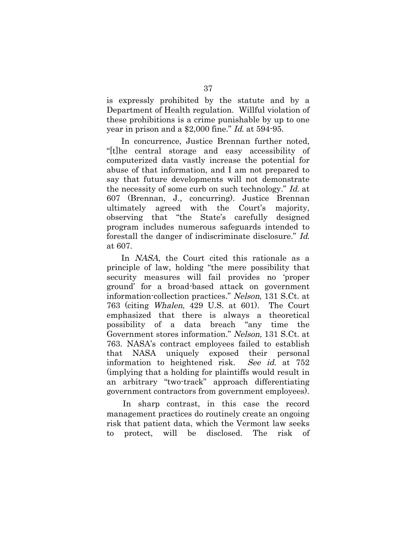is expressly prohibited by the statute and by a Department of Health regulation. Willful violation of these prohibitions is a crime punishable by up to one year in prison and a \$2,000 fine." Id. at 594-95.

In concurrence, Justice Brennan further noted, "[t]he central storage and easy accessibility of computerized data vastly increase the potential for abuse of that information, and I am not prepared to say that future developments will not demonstrate the necessity of some curb on such technology." Id. at 607 (Brennan, J., concurring). Justice Brennan ultimately agreed with the Court's majority, observing that "the State's carefully designed program includes numerous safeguards intended to forestall the danger of indiscriminate disclosure." Id. at 607.

In *NASA*, the Court cited this rationale as a principle of law, holding "the mere possibility that security measures will fail provides no 'proper ground' for a broad-based attack on government information-collection practices." Nelson, 131 S.Ct. at 763 (citing Whalen, 429 U.S. at 601). The Court emphasized that there is always a theoretical possibility of a data breach "any time the Government stores information." Nelson, 131 S.Ct. at 763. NASA's contract employees failed to establish that NASA uniquely exposed their personal information to heightened risk. See id. at 752 (implying that a holding for plaintiffs would result in an arbitrary "two-track" approach differentiating government contractors from government employees).

In sharp contrast, in this case the record management practices do routinely create an ongoing risk that patient data, which the Vermont law seeks to protect, will be disclosed. The risk of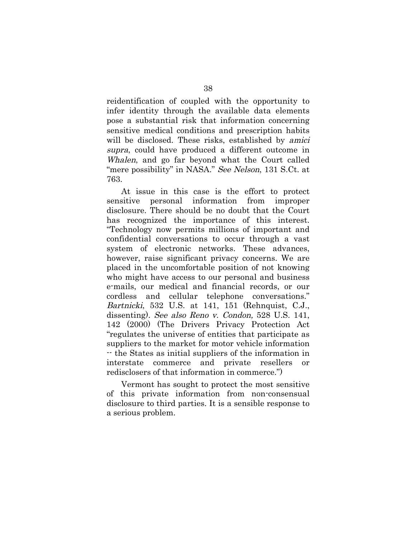reidentification of coupled with the opportunity to infer identity through the available data elements pose a substantial risk that information concerning sensitive medical conditions and prescription habits will be disclosed. These risks, established by *amici* supra, could have produced a different outcome in Whalen, and go far beyond what the Court called "mere possibility" in NASA." See Nelson, 131 S.Ct. at 763.

At issue in this case is the effort to protect sensitive personal information from improper disclosure. There should be no doubt that the Court has recognized the importance of this interest. "Technology now permits millions of important and confidential conversations to occur through a vast system of electronic networks. These advances, however, raise significant privacy concerns. We are placed in the uncomfortable position of not knowing who might have access to our personal and business e-mails, our medical and financial records, or our cordless and cellular telephone conversations." Bartnicki, 532 U.S. at 141, 151 (Rehnquist, C.J., dissenting). See also Reno v. Condon, 528 U.S. 141, 142 (2000) (The Drivers Privacy Protection Act "regulates the universe of entities that participate as suppliers to the market for motor vehicle information -- the States as initial suppliers of the information in interstate commerce and private resellers or redisclosers of that information in commerce.")

Vermont has sought to protect the most sensitive of this private information from non-consensual disclosure to third parties. It is a sensible response to a serious problem.